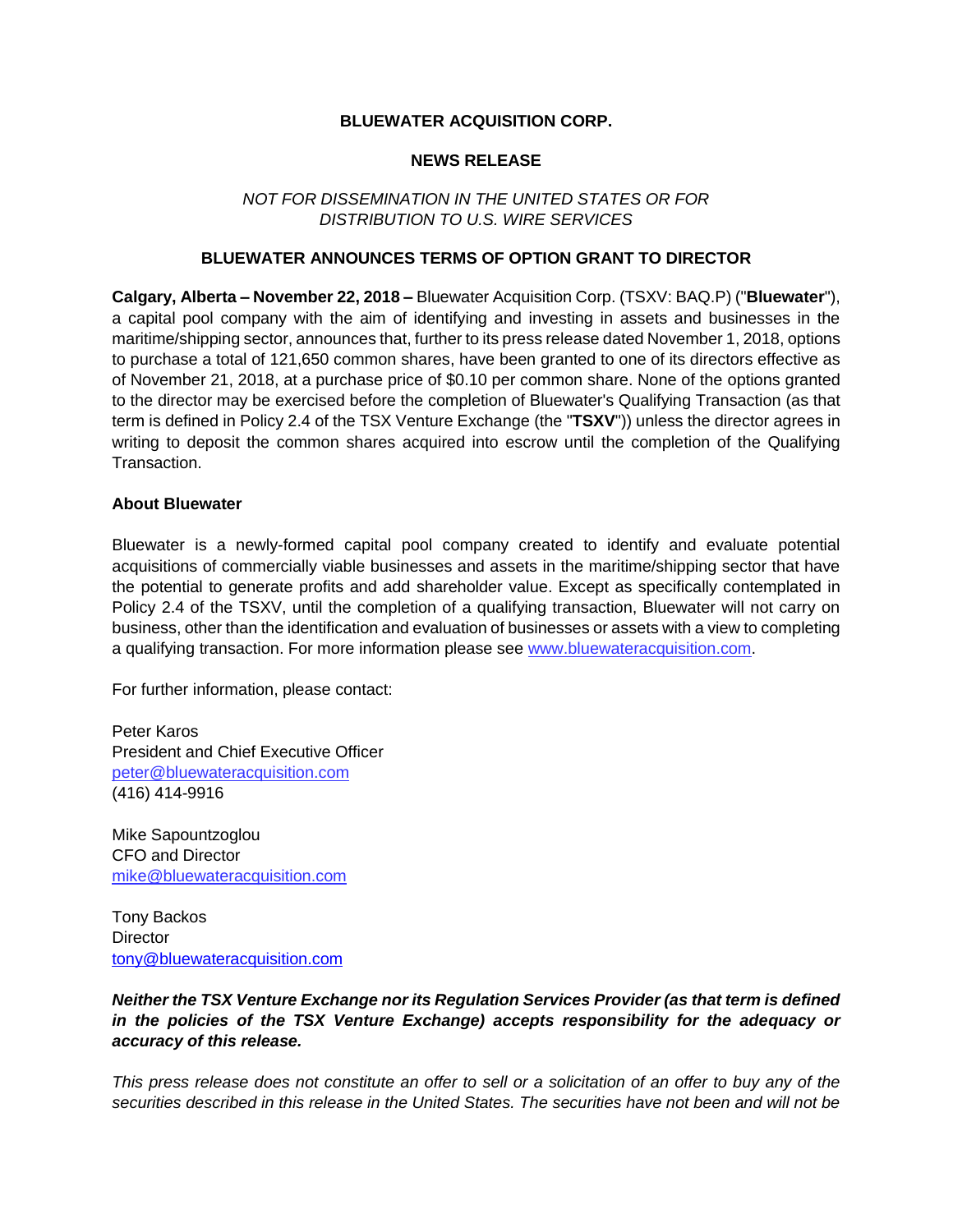# **BLUEWATER ACQUISITION CORP.**

### **NEWS RELEASE**

# *NOT FOR DISSEMINATION IN THE UNITED STATES OR FOR DISTRIBUTION TO U.S. WIRE SERVICES*

#### **BLUEWATER ANNOUNCES TERMS OF OPTION GRANT TO DIRECTOR**

**Calgary, Alberta – November 22, 2018 –** Bluewater Acquisition Corp. (TSXV: BAQ.P) ("**Bluewater**"), a capital pool company with the aim of identifying and investing in assets and businesses in the maritime/shipping sector, announces that, further to its press release dated November 1, 2018, options to purchase a total of 121,650 common shares, have been granted to one of its directors effective as of November 21, 2018, at a purchase price of \$0.10 per common share. None of the options granted to the director may be exercised before the completion of Bluewater's Qualifying Transaction (as that term is defined in Policy 2.4 of the TSX Venture Exchange (the "**TSXV**")) unless the director agrees in writing to deposit the common shares acquired into escrow until the completion of the Qualifying **Transaction** 

#### **About Bluewater**

Bluewater is a newly-formed capital pool company created to identify and evaluate potential acquisitions of commercially viable businesses and assets in the maritime/shipping sector that have the potential to generate profits and add shareholder value. Except as specifically contemplated in Policy 2.4 of the TSXV, until the completion of a qualifying transaction, Bluewater will not carry on business, other than the identification and evaluation of businesses or assets with a view to completing a qualifying transaction. For more information please see [www.bluewateracquisition.com.](http://www.bluewateracquisition.com/)

For further information, please contact:

Peter Karos President and Chief Executive Officer [peter@bluewateracquisition.com](mailto:414-9916peter@bluewateracquisition.com) (416) 414-9916

Mike Sapountzoglou CFO and Director [mike@bluewateracquisition.com](mailto:mike@bluewateracquisition.com)

Tony Backos **Director** [tony@bluewateracquisition.com](mailto:tony@bluewateracquisition.com)

*Neither the TSX Venture Exchange nor its Regulation Services Provider (as that term is defined in the policies of the TSX Venture Exchange) accepts responsibility for the adequacy or accuracy of this release.*

*This press release does not constitute an offer to sell or a solicitation of an offer to buy any of the securities described in this release in the United States. The securities have not been and will not be*